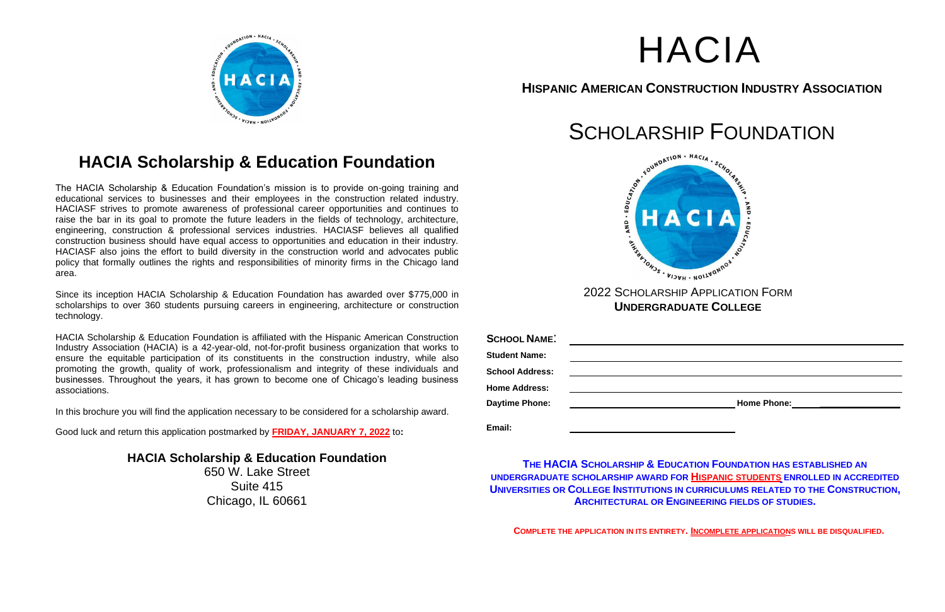



## **HISPANIC AMERICAN CONSTRUCTION INDUSTRY ASSOCIATION**

# **HACIA Scholarship & Education Foundation**

The HACIA Scholarship & Education Foundation's mission is to provide on-going training and educational services to businesses and their employees in the construction related industry. HACIASF strives to promote awareness of professional career opportunities and continues to raise the bar in its goal to promote the future leaders in the fields of technology, architecture, engineering, construction & professional services industries. HACIASF believes all qualified construction business should have equal access to opportunities and education in their industry. HACIASF also joins the effort to build diversity in the construction world and advocates public policy that formally outlines the rights and responsibilities of minority firms in the Chicago land area.

Since its inception HACIA Scholarship & Education Foundation has awarded over \$775,000 in scholarships to over 360 students pursuing careers in engineering, architecture or construction technology.

HACIA Scholarship & Education Foundation is affiliated with the Hispanic American Construction Industry Association (HACIA) is a 42-year-old, not-for-profit business organization that works to ensure the equitable participation of its constituents in the construction industry, while also promoting the growth, quality of work, professionalism and integrity of these individuals and businesses. Throughout the years, it has grown to become one of Chicago's leading business associations.

In this brochure you will find the application necessary to be considered for a scholarship award.

Good luck and return this application postmarked by **FRIDAY, JANUARY 7, 2022** to**:**

**HACIA Scholarship & Education Foundation** 650 W. Lake Street Suite 415 Chicago, IL 60661





**UNDERGRADUATE COLLEGE**

| <b>SCHOOL NAME:</b>    |                    |
|------------------------|--------------------|
| <b>Student Name:</b>   |                    |
| <b>School Address:</b> |                    |
| <b>Home Address:</b>   |                    |
| <b>Daytime Phone:</b>  | <b>Home Phone:</b> |
|                        |                    |
| Email:                 |                    |

**THE HACIA SCHOLARSHIP & EDUCATION FOUNDATION HAS ESTABLISHED AN UNDERGRADUATE SCHOLARSHIP AWARD FOR HISPANIC STUDENTS ENROLLED IN ACCREDITED UNIVERSITIES OR COLLEGE INSTITUTIONS IN CURRICULUMS RELATED TO THE CONSTRUCTION, ARCHITECTURAL OR ENGINEERING FIELDS OF STUDIES.**

**COMPLETE THE APPLICATION IN ITS ENTIRETY. INCOMPLETE APPLICATIONS WILL BE DISQUALIFIED.**